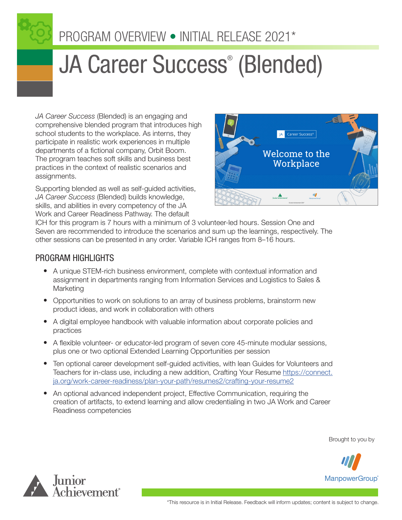

# JA Career Success® (Blended)

*JA Career Success* (Blended) is an engaging and comprehensive blended program that introduces high school students to the workplace. As interns, they participate in realistic work experiences in multiple departments of a fictional company, Orbit Boom. The program teaches soft skills and business best practices in the context of realistic scenarios and assignments.

Supporting blended as well as self-guided activities, *JA Career Success* (Blended) builds knowledge, skills, and abilities in every competency of the JA Work and Career Readiness Pathway. The default



ICH for this program is 7 hours with a minimum of 3 volunteer-led hours. Session One and Seven are recommended to introduce the scenarios and sum up the learnings, respectively. The other sessions can be presented in any order. Variable ICH ranges from 8–16 hours.

## PROGRAM HIGHLIGHTS

- A unique STEM-rich business environment, complete with contextual information and assignment in departments ranging from Information Services and Logistics to Sales & Marketing
- Opportunities to work on solutions to an array of business problems, brainstorm new product ideas, and work in collaboration with others
- A digital employee handbook with valuable information about corporate policies and practices
- A flexible volunteer- or educator-led program of seven core 45-minute modular sessions, plus one or two optional Extended Learning Opportunities per session
- Ten optional career development self-guided activities, with lean Guides for Volunteers and Teachers for in-class use, including a new addition, Crafting Your Resume [https://connect.](https://connect.ja.org/work-career-readiness/plan-your-path/resumes2/crafting-your-resume2) [ja.org/work-career-readiness/plan-your-path/resumes2/crafting-your-resume2](https://connect.ja.org/work-career-readiness/plan-your-path/resumes2/crafting-your-resume2)
- An optional advanced independent project, Effective Communication, requiring the creation of artifacts, to extend learning and allow credentialing in two JA Work and Career Readiness competencies

Brought to you by



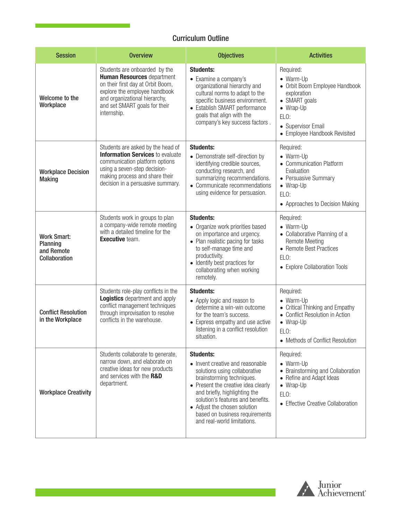## Curriculum Outline

| <b>Session</b>                                                | <b>Overview</b>                                                                                                                                                                                                           | <b>Objectives</b>                                                                                                                                                                                                                                                                                                                | <b>Activities</b>                                                                                                                                                    |
|---------------------------------------------------------------|---------------------------------------------------------------------------------------------------------------------------------------------------------------------------------------------------------------------------|----------------------------------------------------------------------------------------------------------------------------------------------------------------------------------------------------------------------------------------------------------------------------------------------------------------------------------|----------------------------------------------------------------------------------------------------------------------------------------------------------------------|
| Welcome to the<br>Workplace                                   | Students are onboarded by the<br><b>Human Resources department</b><br>on their first day at Orbit Boom,<br>explore the employee handbook<br>and organizational hierarchy,<br>and set SMART goals for their<br>internship. | <b>Students:</b><br>• Examine a company's<br>organizational hierarchy and<br>cultural norms to adapt to the<br>specific business environment.<br>• Establish SMART performance<br>goals that align with the<br>company's key success factors.                                                                                    | Required:<br>• Warm-Up<br>• Orbit Boom Employee Handbook<br>exploration<br>• SMART goals<br>• Wrap-Up<br>ELO:<br>• Supervisor Email<br>• Employee Handbook Revisited |
| <b>Workplace Decision</b><br><b>Making</b>                    | Students are asked by the head of<br><b>Information Services</b> to evaluate<br>communication platform options<br>using a seven-step decision-<br>making process and share their<br>decision in a persuasive summary.     | <b>Students:</b><br>• Demonstrate self-direction by<br>identifying credible sources,<br>conducting research, and<br>summarizing recommendations.<br>• Communicate recommendations<br>using evidence for persuasion.                                                                                                              | Required:<br>• Warm-Up<br>• Communication Platform<br>Evaluation<br>• Persuasive Summary<br>• Wrap-Up<br>ELO:<br>• Approaches to Decision Making                     |
| <b>Work Smart:</b><br>Planning<br>and Remote<br>Collaboration | Students work in groups to plan<br>a company-wide remote meeting<br>with a detailed timeline for the<br><b>Executive</b> team.                                                                                            | <b>Students:</b><br>• Organize work priorities based<br>on importance and urgency.<br>• Plan realistic pacing for tasks<br>to self-manage time and<br>productivity.<br>• Identify best practices for<br>collaborating when working<br>remotely.                                                                                  | Required:<br>• Warm-Up<br>• Collaborative Planning of a<br><b>Remote Meeting</b><br>• Remote Best Practices<br>ELO:<br>• Explore Collaboration Tools                 |
| <b>Conflict Resolution</b><br>in the Workplace                | Students role-play conflicts in the<br><b>Logistics</b> department and apply<br>conflict management techniques<br>through improvisation to resolve<br>conflicts in the warehouse.                                         | <b>Students:</b><br>• Apply logic and reason to<br>determine a win-win outcome<br>for the team's success.<br>• Express empathy and use active<br>listening in a conflict resolution<br>situation.                                                                                                                                | Required:<br>• Warm-Up<br>• Critical Thinking and Empathy<br>• Conflict Resolution in Action<br>• Wrap-Up<br>ELO:<br>• Methods of Conflict Resolution                |
| <b>Workplace Creativity</b>                                   | Students collaborate to generate,<br>narrow down, and elaborate on<br>creative ideas for new products<br>and services with the R&D<br>department.                                                                         | <b>Students:</b><br>• Invent creative and reasonable<br>solutions using collaborative<br>brainstorming techniques.<br>• Present the creative idea clearly<br>and briefly, highlighting the<br>solution's features and benefits.<br>• Adjust the chosen solution<br>based on business requirements<br>and real-world limitations. | Required:<br>• Warm-Up<br>• Brainstorming and Collaboration<br>• Refine and Adapt Ideas<br>• Wrap-Up<br>ELO:<br>• Effective Creative Collaboration                   |



 $\mathbb{R}^n$